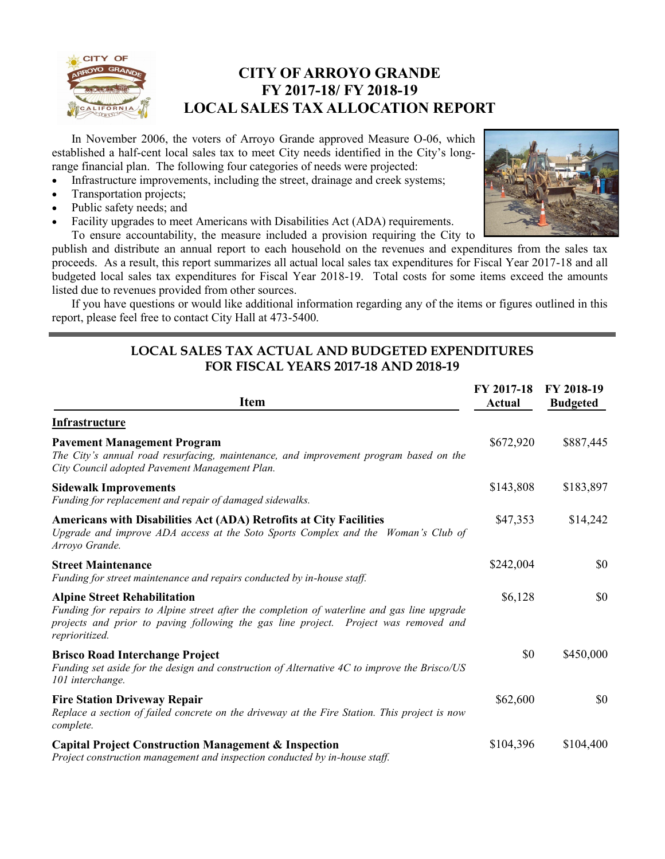

### **CITY OF ARROYO GRANDE FY 2017-18/ FY 2018-19 LOCAL SALES TAX ALLOCATION REPORT**

In November 2006, the voters of Arroyo Grande approved Measure O-06, which established a half-cent local sales tax to meet City needs identified in the City's longrange financial plan. The following four categories of needs were projected:

- Infrastructure improvements, including the street, drainage and creek systems;
- Transportation projects;
- Public safety needs; and
- Facility upgrades to meet Americans with Disabilities Act (ADA) requirements.



To ensure accountability, the measure included a provision requiring the City to publish and distribute an annual report to each household on the revenues and expenditures from the sales tax proceeds. As a result, this report summarizes all actual local sales tax expenditures for Fiscal Year 2017-18 and all budgeted local sales tax expenditures for Fiscal Year 2018-19. Total costs for some items exceed the amounts listed due to revenues provided from other sources.

If you have questions or would like additional information regarding any of the items or figures outlined in this report, please feel free to contact City Hall at 473-5400.

#### **LOCAL SALES TAX ACTUAL AND BUDGETED EXPENDITURES FOR FISCAL YEARS 2017-18 AND 2018-19**

| <b>Item</b>                                                                                                                                                                                                                                  | FY 2017-18<br>Actual | FY 2018-19<br><b>Budgeted</b> |
|----------------------------------------------------------------------------------------------------------------------------------------------------------------------------------------------------------------------------------------------|----------------------|-------------------------------|
| <b>Infrastructure</b>                                                                                                                                                                                                                        |                      |                               |
| <b>Pavement Management Program</b><br>The City's annual road resurfacing, maintenance, and improvement program based on the<br>City Council adopted Pavement Management Plan.                                                                | \$672,920            | \$887,445                     |
| <b>Sidewalk Improvements</b><br>Funding for replacement and repair of damaged sidewalks.                                                                                                                                                     | \$143,808            | \$183,897                     |
| Americans with Disabilities Act (ADA) Retrofits at City Facilities<br>Upgrade and improve ADA access at the Soto Sports Complex and the Woman's Club of<br>Arroyo Grande.                                                                    | \$47,353             | \$14,242                      |
| <b>Street Maintenance</b><br>Funding for street maintenance and repairs conducted by in-house staff.                                                                                                                                         | \$242,004            | \$0                           |
| <b>Alpine Street Rehabilitation</b><br>Funding for repairs to Alpine street after the completion of waterline and gas line upgrade<br>projects and prior to paving following the gas line project. Project was removed and<br>reprioritized. | \$6,128              | \$0                           |
| <b>Brisco Road Interchange Project</b><br>Funding set aside for the design and construction of Alternative 4C to improve the Brisco/US<br>101 interchange.                                                                                   | \$0                  | \$450,000                     |
| <b>Fire Station Driveway Repair</b><br>Replace a section of failed concrete on the driveway at the Fire Station. This project is now<br>complete.                                                                                            | \$62,600             | \$0                           |
| <b>Capital Project Construction Management &amp; Inspection</b><br>Project construction management and inspection conducted by in-house staff.                                                                                               | \$104,396            | \$104,400                     |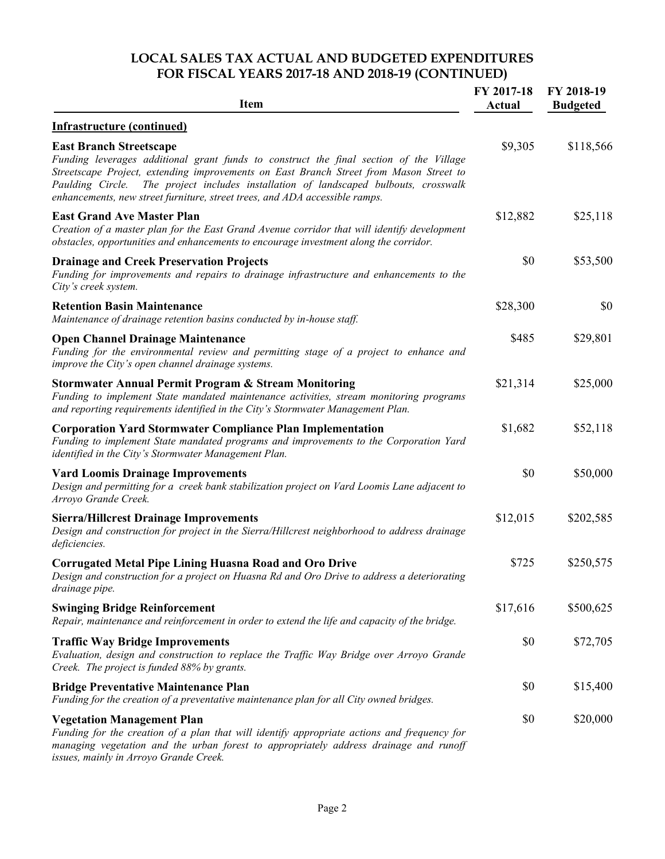### **LOCAL SALES TAX ACTUAL AND BUDGETED EXPENDITURES FOR FISCAL YEARS 2017-18 AND 2018-19 (CONTINUED)**

| <b>Item</b>                                                                                                                                                                                                                                                                                                                                                                                  | FY 2017-18<br>Actual | FY 2018-19<br><b>Budgeted</b> |
|----------------------------------------------------------------------------------------------------------------------------------------------------------------------------------------------------------------------------------------------------------------------------------------------------------------------------------------------------------------------------------------------|----------------------|-------------------------------|
| <b>Infrastructure (continued)</b>                                                                                                                                                                                                                                                                                                                                                            |                      |                               |
| <b>East Branch Streetscape</b><br>Funding leverages additional grant funds to construct the final section of the Village<br>Streetscape Project, extending improvements on East Branch Street from Mason Street to<br>The project includes installation of landscaped bulbouts, crosswalk<br>Paulding Circle.<br>enhancements, new street furniture, street trees, and ADA accessible ramps. | \$9,305              | \$118,566                     |
| <b>East Grand Ave Master Plan</b><br>Creation of a master plan for the East Grand Avenue corridor that will identify development<br>obstacles, opportunities and enhancements to encourage investment along the corridor.                                                                                                                                                                    | \$12,882             | \$25,118                      |
| <b>Drainage and Creek Preservation Projects</b><br>Funding for improvements and repairs to drainage infrastructure and enhancements to the<br>City's creek system.                                                                                                                                                                                                                           | \$0                  | \$53,500                      |
| <b>Retention Basin Maintenance</b><br>Maintenance of drainage retention basins conducted by in-house staff.                                                                                                                                                                                                                                                                                  | \$28,300             | \$0                           |
| <b>Open Channel Drainage Maintenance</b><br>Funding for the environmental review and permitting stage of a project to enhance and<br>improve the City's open channel drainage systems.                                                                                                                                                                                                       | \$485                | \$29,801                      |
| <b>Stormwater Annual Permit Program &amp; Stream Monitoring</b><br>Funding to implement State mandated maintenance activities, stream monitoring programs<br>and reporting requirements identified in the City's Stormwater Management Plan.                                                                                                                                                 | \$21,314             | \$25,000                      |
| <b>Corporation Yard Stormwater Compliance Plan Implementation</b><br>Funding to implement State mandated programs and improvements to the Corporation Yard<br>identified in the City's Stormwater Management Plan.                                                                                                                                                                           | \$1,682              | \$52,118                      |
| <b>Vard Loomis Drainage Improvements</b><br>Design and permitting for a creek bank stabilization project on Vard Loomis Lane adjacent to<br>Arroyo Grande Creek.                                                                                                                                                                                                                             | \$0                  | \$50,000                      |
| <b>Sierra/Hillcrest Drainage Improvements</b><br>Design and construction for project in the Sierra/Hillcrest neighborhood to address drainage<br>deficiencies.                                                                                                                                                                                                                               | \$12,015             | \$202,585                     |
| <b>Corrugated Metal Pipe Lining Huasna Road and Oro Drive</b><br>Design and construction for a project on Huasna Rd and Oro Drive to address a deteriorating<br>drainage pipe.                                                                                                                                                                                                               | \$725                | \$250,575                     |
| <b>Swinging Bridge Reinforcement</b><br>Repair, maintenance and reinforcement in order to extend the life and capacity of the bridge.                                                                                                                                                                                                                                                        | \$17,616             | \$500,625                     |
| <b>Traffic Way Bridge Improvements</b><br>Evaluation, design and construction to replace the Traffic Way Bridge over Arroyo Grande<br>Creek. The project is funded 88% by grants.                                                                                                                                                                                                            | \$0                  | \$72,705                      |
| <b>Bridge Preventative Maintenance Plan</b><br>Funding for the creation of a preventative maintenance plan for all City owned bridges.                                                                                                                                                                                                                                                       | \$0                  | \$15,400                      |
| <b>Vegetation Management Plan</b><br>Funding for the creation of a plan that will identify appropriate actions and frequency for<br>managing vegetation and the urban forest to appropriately address drainage and runoff<br>issues, mainly in Arroyo Grande Creek.                                                                                                                          | \$0                  | \$20,000                      |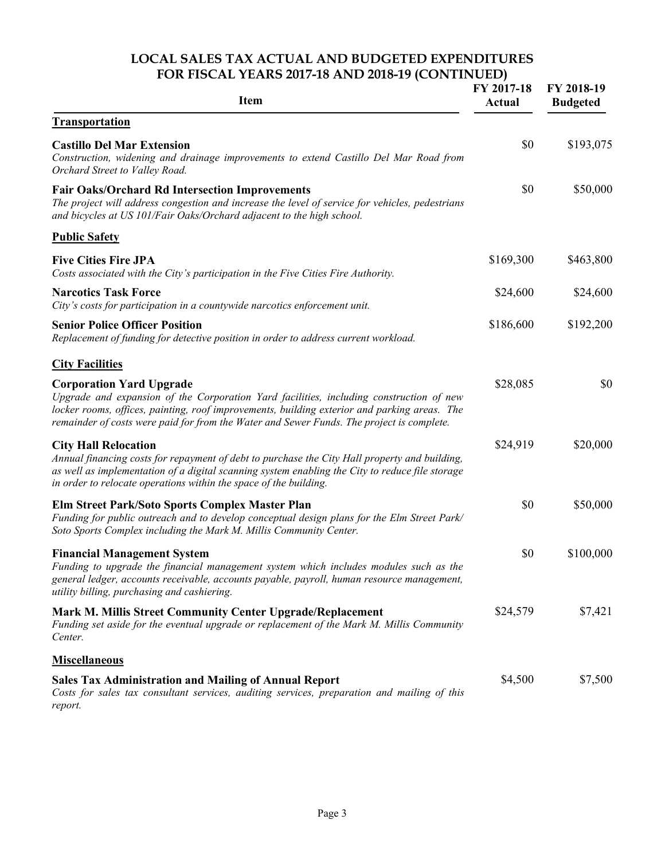#### **LOCAL SALES TAX ACTUAL AND BUDGETED EXPENDITURES FOR FISCAL YEARS 2017-18 AND 2018-19 (CONTINUED)**

| <b>Item</b>                                                                                                                                                                                                                                                                                                             | FY 2017-18<br><b>Actual</b> | FY 2018-19<br><b>Budgeted</b> |
|-------------------------------------------------------------------------------------------------------------------------------------------------------------------------------------------------------------------------------------------------------------------------------------------------------------------------|-----------------------------|-------------------------------|
| <b>Transportation</b>                                                                                                                                                                                                                                                                                                   |                             |                               |
| <b>Castillo Del Mar Extension</b><br>Construction, widening and drainage improvements to extend Castillo Del Mar Road from<br>Orchard Street to Valley Road.                                                                                                                                                            | \$0                         | \$193,075                     |
| <b>Fair Oaks/Orchard Rd Intersection Improvements</b><br>The project will address congestion and increase the level of service for vehicles, pedestrians<br>and bicycles at US 101/Fair Oaks/Orchard adjacent to the high school.                                                                                       | \$0                         | \$50,000                      |
| <b>Public Safety</b>                                                                                                                                                                                                                                                                                                    |                             |                               |
| <b>Five Cities Fire JPA</b><br>Costs associated with the City's participation in the Five Cities Fire Authority.                                                                                                                                                                                                        | \$169,300                   | \$463,800                     |
| <b>Narcotics Task Force</b><br>City's costs for participation in a countywide narcotics enforcement unit.                                                                                                                                                                                                               | \$24,600                    | \$24,600                      |
| <b>Senior Police Officer Position</b><br>Replacement of funding for detective position in order to address current workload.                                                                                                                                                                                            | \$186,600                   | \$192,200                     |
| <b>City Facilities</b>                                                                                                                                                                                                                                                                                                  |                             |                               |
| <b>Corporation Yard Upgrade</b><br>Upgrade and expansion of the Corporation Yard facilities, including construction of new<br>locker rooms, offices, painting, roof improvements, building exterior and parking areas. The<br>remainder of costs were paid for from the Water and Sewer Funds. The project is complete. | \$28,085                    | \$0                           |
| <b>City Hall Relocation</b><br>Annual financing costs for repayment of debt to purchase the City Hall property and building,<br>as well as implementation of a digital scanning system enabling the City to reduce file storage<br>in order to relocate operations within the space of the building.                    | \$24,919                    | \$20,000                      |
| Elm Street Park/Soto Sports Complex Master Plan<br>Funding for public outreach and to develop conceptual design plans for the Elm Street Park/<br>Soto Sports Complex including the Mark M. Millis Community Center.                                                                                                    | \$0                         | \$50,000                      |
| <b>Financial Management System</b><br>Funding to upgrade the financial management system which includes modules such as the<br>general ledger, accounts receivable, accounts payable, payroll, human resource management,<br>utility billing, purchasing and cashiering.                                                | \$0                         | \$100,000                     |
| <b>Mark M. Millis Street Community Center Upgrade/Replacement</b><br>Funding set aside for the eventual upgrade or replacement of the Mark M. Millis Community<br>Center.                                                                                                                                               | \$24,579                    | \$7,421                       |
| <b>Miscellaneous</b>                                                                                                                                                                                                                                                                                                    |                             |                               |
| <b>Sales Tax Administration and Mailing of Annual Report</b><br>Costs for sales tax consultant services, auditing services, preparation and mailing of this<br>report.                                                                                                                                                  | \$4,500                     | \$7,500                       |